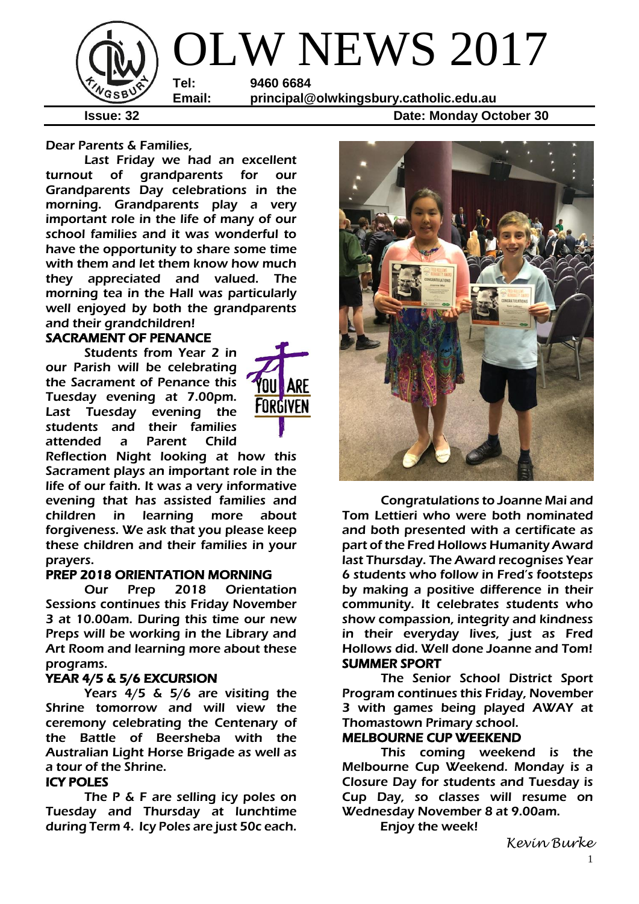

**Issue: 32 Date: Monday October 30** 

Dear Parents & Families,

Last Friday we had an excellent turnout of grandparents for our Grandparents Day celebrations in the morning. Grandparents play a very important role in the life of many of our school families and it was wonderful to have the opportunity to share some time with them and let them know how much they appreciated and valued. The morning tea in the Hall was particularly well enjoyed by both the grandparents and their grandchildren!

## SACRAMENT OF PENANCE

Students from Year 2 in our Parish will be celebrating the Sacrament of Penance this Tuesday evening at 7.00pm. Last Tuesday evening the students and their families attended a Parent Child



Reflection Night looking at how this Sacrament plays an important role in the life of our faith. It was a very informative evening that has assisted families and children in learning more about forgiveness. We ask that you please keep these children and their families in your prayers.

### PREP 2018 ORIENTATION MORNING

 Our Prep 2018 Orientation Sessions continues this Friday November 3 at 10.00am. During this time our new Preps will be working in the Library and Art Room and learning more about these programs.

### YEAR 4/5 & 5/6 EXCURSION

Years 4/5 & 5/6 are visiting the Shrine tomorrow and will view the ceremony celebrating the Centenary of the Battle of Beersheba with the Australian Light Horse Brigade as well as a tour of the Shrine.

### ICY POLES

The P & F are selling icy poles on Tuesday and Thursday at lunchtime during Term 4. Icy Poles are just 50c each.



Congratulations to Joanne Mai and Tom Lettieri who were both nominated and both presented with a certificate as part of the Fred Hollows Humanity Award last Thursday. The Award recognises Year 6 students who follow in Fred's footsteps by making a positive difference in their community. It celebrates students who show compassion, integrity and kindness in their everyday lives, just as Fred Hollows did. Well done Joanne and Tom! SUMMER SPORT

The Senior School District Sport Program continues this Friday, November 3 with games being played AWAY at Thomastown Primary school.

### MELBOURNE CUP WEEKEND

This coming weekend is the Melbourne Cup Weekend. Monday is a Closure Day for students and Tuesday is Cup Day, so classes will resume on Wednesday November 8 at 9.00am.

Enjoy the week!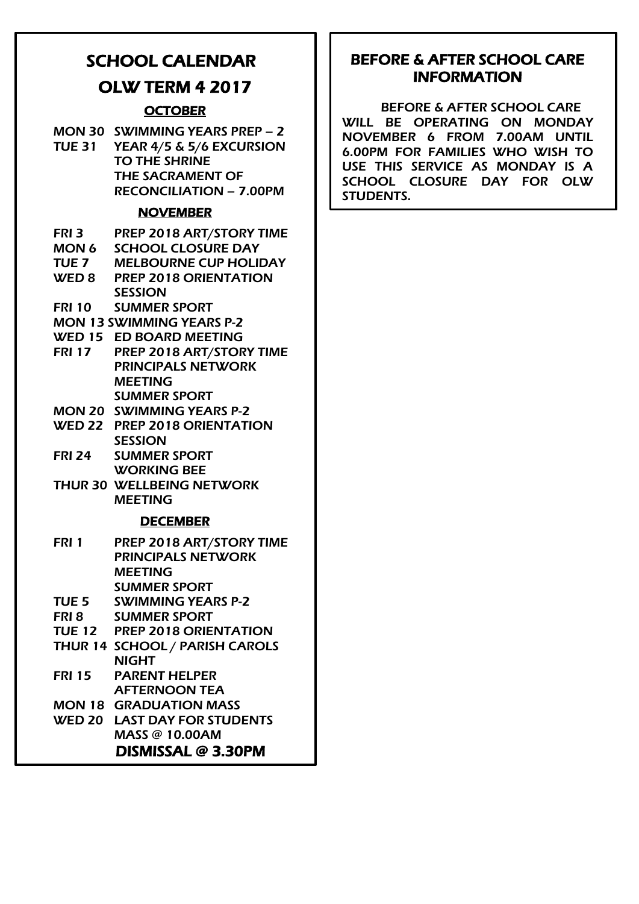# SCHOOL CALENDAR

# OLW TERM 4 2017

# **OCTOBER**

|                  | MON 30 SWIMMING YEARS PREP - 2<br>TUE 31 YEAR 4/5 & 5/6 EXCURSION<br><b>TO THE SHRINE</b><br><b>THE SACRAMENT OF</b><br><b>RECONCILIATION - 7.00PM</b> |
|------------------|--------------------------------------------------------------------------------------------------------------------------------------------------------|
|                  | <b>NOVEMBER</b>                                                                                                                                        |
|                  | FRI 3 PREP 2018 ART/STORY TIME                                                                                                                         |
|                  | <b>MON 6 SCHOOL CLOSURE DAY</b>                                                                                                                        |
| <b>TUE 7</b>     | <b>MELBOURNE CUP HOLIDAY</b>                                                                                                                           |
|                  | WED 8 PREP 2018 ORIENTATION                                                                                                                            |
|                  | <b>SESSION</b>                                                                                                                                         |
|                  | FRI 10 SUMMER SPORT                                                                                                                                    |
|                  | <b>MON 13 SWIMMING YEARS P-2</b>                                                                                                                       |
|                  | <b>WED 15 ED BOARD MEETING</b>                                                                                                                         |
|                  | FRI 17 PREP 2018 ART/STORY TIME                                                                                                                        |
|                  | <b>PRINCIPALS NETWORK</b>                                                                                                                              |
|                  | <b>MEETING</b>                                                                                                                                         |
|                  | <b>SUMMER SPORT</b><br><b>MON 20 SWIMMING YEARS P-2</b>                                                                                                |
|                  |                                                                                                                                                        |
|                  | WED 22 PREP 2018 ORIENTATION<br><b>SESSION</b>                                                                                                         |
| <b>FRI 24</b>    | <b>SUMMER SPORT</b>                                                                                                                                    |
|                  | <b>WORKING BEE</b>                                                                                                                                     |
|                  | <b>THUR 30 WELLBEING NETWORK</b>                                                                                                                       |
|                  | <b>MEETING</b>                                                                                                                                         |
|                  | <b>DECEMBER</b>                                                                                                                                        |
|                  |                                                                                                                                                        |
| FRI 1            | PREP 2018 ART/STORY TIME                                                                                                                               |
|                  | <b>PRINCIPALS NETWORK</b>                                                                                                                              |
|                  | <b>MEETING</b>                                                                                                                                         |
|                  | <b>SUMMER SPORT</b>                                                                                                                                    |
| TUE <sub>5</sub> | <b>SWIMMING YEARS P-2</b>                                                                                                                              |
| FRI 8            | <b>SUMMER SPORT</b>                                                                                                                                    |
|                  | TUE 12 PREP 2018 ORIENTATION                                                                                                                           |
|                  | THUR 14 SCHOOL / PARISH CAROLS                                                                                                                         |
|                  | <b>NIGHT</b>                                                                                                                                           |
| <b>FRI 15</b>    | <b>PARENT HELPER</b>                                                                                                                                   |
|                  | <b>AFTERNOON TEA</b>                                                                                                                                   |
|                  | <b>MON 18 GRADUATION MASS</b>                                                                                                                          |
|                  | <b>WED 20 LAST DAY FOR STUDENTS</b>                                                                                                                    |
|                  | <b>MASS @ 10.00AM</b>                                                                                                                                  |
|                  | DISMISSAL @ 3.30PM                                                                                                                                     |

# BEFORE & AFTER SCHOOL CARE INFORMATION

BEFORE & AFTER SCHOOL CARE WILL BE OPERATING ON MONDAY NOVEMBER 6 FROM 7.00AM UNTIL 6.00PM FOR FAMILIES WHO WISH TO USE THIS SERVICE AS MONDAY IS A SCHOOL CLOSURE DAY FOR OLW STUDENTS.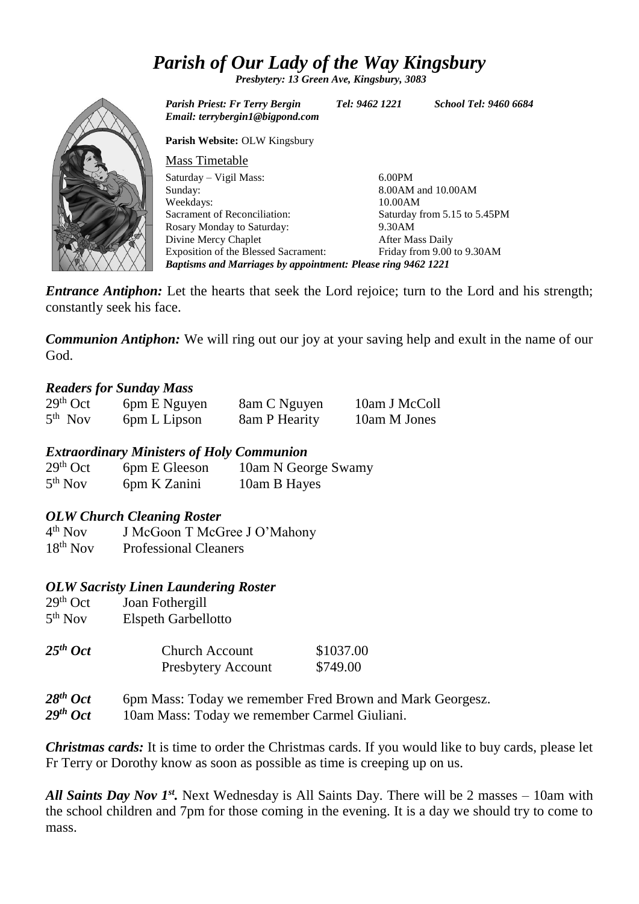# *Parish of Our Lady of the Way Kingsbury*

*Presbytery: 13 Green Ave, Kingsbury, 3083*



*Parish Priest: Fr Terry Bergin Tel: 9462 1221 School Tel: 9460 6684 Email: terrybergin1@bigpond.com* **Parish Website:** OLW Kingsbury Mass Timetable Saturday – Vigil Mass: Sunday: Weekdays: Sacrament of Reconciliation: Rosary Monday to Saturday: Divine Mercy Chaplet Exposition of the Blessed Sacrament: 6.00PM 8.00AM and 10.00AM 10.00AM Saturday from 5.15 to 5.45PM 9.30AM After Mass Daily Friday from 9.00 to 9.30AM *Baptisms and Marriages by appointment: Please ring 9462 1221*

*Entrance Antiphon:* Let the hearts that seek the Lord rejoice; turn to the Lord and his strength; constantly seek his face.

*Communion Antiphon:* We will ring out our joy at your saving help and exult in the name of our God.

### *Readers for Sunday Mass*

| $29th$ Oct | 6pm E Nguyen | 8am C Nguyen  | 10am J McColl |
|------------|--------------|---------------|---------------|
| $5th$ Nov  | 6pm L Lipson | 8am P Hearity | 10am M Jones  |

### *Extraordinary Ministers of Holy Communion*

| $29th$ Oct          | 6pm E Gleeson | 10am N George Swamy |
|---------------------|---------------|---------------------|
| 5 <sup>th</sup> Nov | 6pm K Zanini  | 10am B Hayes        |

### *OLW Church Cleaning Roster*

 $4<sup>th</sup>$  Nov J McGoon T McGree J O'Mahony 18th Nov Professional Cleaners

### *OLW Sacristy Linen Laundering Roster*

| $29th$ Oct<br>5 <sup>th</sup> Nov | Joan Fothergill<br><b>Elspeth Garbellotto</b> |                       |
|-----------------------------------|-----------------------------------------------|-----------------------|
| $25th$ Oct                        | Church Account<br>Presbytery Account          | \$1037.00<br>\$749.00 |
| $2.9$ gth $\Omega_{\alpha}$ t     | 6pm Mass: Today we remember Fred Brown and    |                       |

*28th Oct* 6pm Mass: Today we remember Fred Brown and Mark Georgesz.

*29th Oct* 10am Mass: Today we remember Carmel Giuliani.

*Christmas cards:* It is time to order the Christmas cards. If you would like to buy cards, please let Fr Terry or Dorothy know as soon as possible as time is creeping up on us.

All Saints Day Nov 1<sup>st</sup>. Next Wednesday is All Saints Day. There will be 2 masses – 10am with the school children and 7pm for those coming in the evening. It is a day we should try to come to mass.